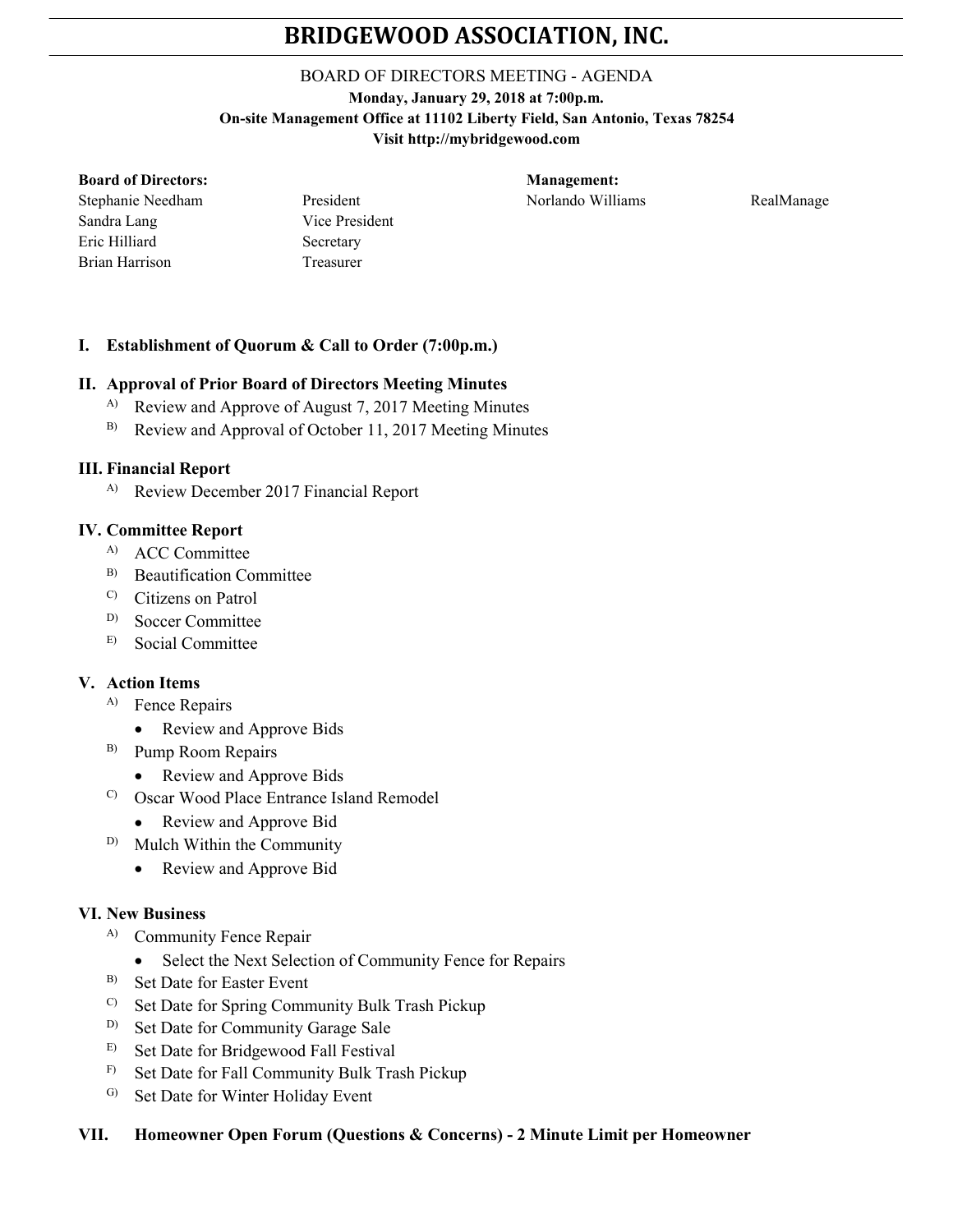# **BRIDGEWOOD ASSOCIATION, INC.**

### BOARD OF DIRECTORS MEETING - AGENDA **Monday, January 29, 2018 at 7:00p.m. On-site Management Office at 11102 Liberty Field, San Antonio, Texas 78254 Visit http://mybridgewood.com**

#### **Board of Directors: Management:**

Stephanie Needham President President Norlando Williams RealManage Sandra Lang Vice President Eric Hilliard Secretary Brian Harrison Treasurer

### **I. Establishment of Quorum & Call to Order (7:00p.m.)**

#### **II. Approval of Prior Board of Directors Meeting Minutes**

- A) Review and Approve of August 7, 2017 Meeting Minutes
- $B$ ) Review and Approval of October 11, 2017 Meeting Minutes

#### **III. Financial Report**

A) Review December 2017 Financial Report

#### **IV. Committee Report**

- <sup>A)</sup> ACC Committee
- B) Beautification Committee
- C) Citizens on Patrol
- D) Soccer Committee
- E) Social Committee

#### **V. Action Items**

- A) Fence Repairs
	- Review and Approve Bids
- B) Pump Room Repairs
	- Review and Approve Bids
- C) Oscar Wood Place Entrance Island Remodel
	- Review and Approve Bid
- D) Mulch Within the Community
	- Review and Approve Bid

#### **VI. New Business**

- A) Community Fence Repair
	- Select the Next Selection of Community Fence for Repairs
- B) Set Date for Easter Event
- C) Set Date for Spring Community Bulk Trash Pickup
- D) Set Date for Community Garage Sale
- E) Set Date for Bridgewood Fall Festival
- F) Set Date for Fall Community Bulk Trash Pickup
- G) Set Date for Winter Holiday Event

#### **VII. Homeowner Open Forum (Questions & Concerns) - 2 Minute Limit per Homeowner**